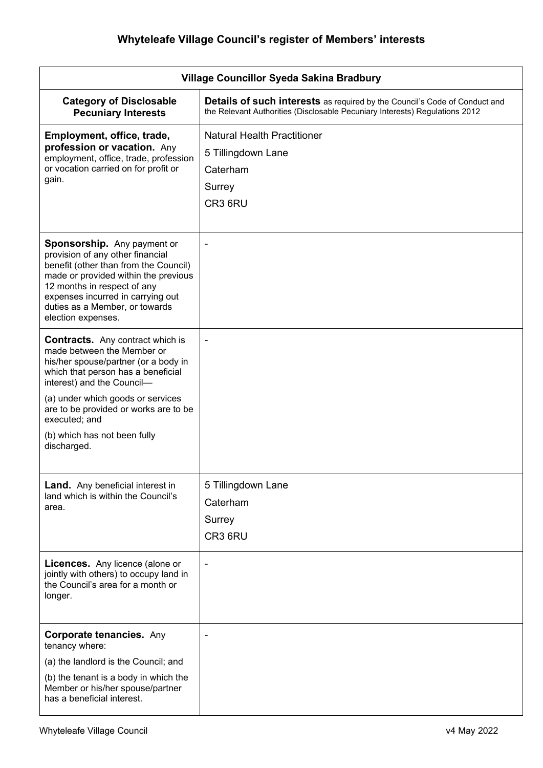| Village Councillor Syeda Sakina Bradbury                                                                                                                                                                                                                                                                                        |                                                                                                                                                                  |
|---------------------------------------------------------------------------------------------------------------------------------------------------------------------------------------------------------------------------------------------------------------------------------------------------------------------------------|------------------------------------------------------------------------------------------------------------------------------------------------------------------|
| <b>Category of Disclosable</b><br><b>Pecuniary Interests</b>                                                                                                                                                                                                                                                                    | <b>Details of such interests</b> as required by the Council's Code of Conduct and<br>the Relevant Authorities (Disclosable Pecuniary Interests) Regulations 2012 |
| Employment, office, trade,<br>profession or vacation. Any<br>employment, office, trade, profession<br>or vocation carried on for profit or<br>gain.                                                                                                                                                                             | <b>Natural Health Practitioner</b><br>5 Tillingdown Lane<br>Caterham<br>Surrey<br>CR3 6RU                                                                        |
| <b>Sponsorship.</b> Any payment or<br>provision of any other financial<br>benefit (other than from the Council)<br>made or provided within the previous<br>12 months in respect of any<br>expenses incurred in carrying out<br>duties as a Member, or towards<br>election expenses.                                             |                                                                                                                                                                  |
| <b>Contracts.</b> Any contract which is<br>made between the Member or<br>his/her spouse/partner (or a body in<br>which that person has a beneficial<br>interest) and the Council-<br>(a) under which goods or services<br>are to be provided or works are to be<br>executed; and<br>(b) which has not been fully<br>discharged. |                                                                                                                                                                  |
| Land. Any beneficial interest in<br>land which is within the Council's<br>area.<br><b>Licences.</b> Any licence (alone or<br>jointly with others) to occupy land in                                                                                                                                                             | 5 Tillingdown Lane<br>Caterham<br>Surrey<br>CR3 6RU                                                                                                              |
| the Council's area for a month or<br>longer.                                                                                                                                                                                                                                                                                    |                                                                                                                                                                  |
| <b>Corporate tenancies. Any</b><br>tenancy where:<br>(a) the landlord is the Council; and<br>(b) the tenant is a body in which the<br>Member or his/her spouse/partner<br>has a beneficial interest.                                                                                                                            | $\blacksquare$                                                                                                                                                   |

 $\mathbf{l}$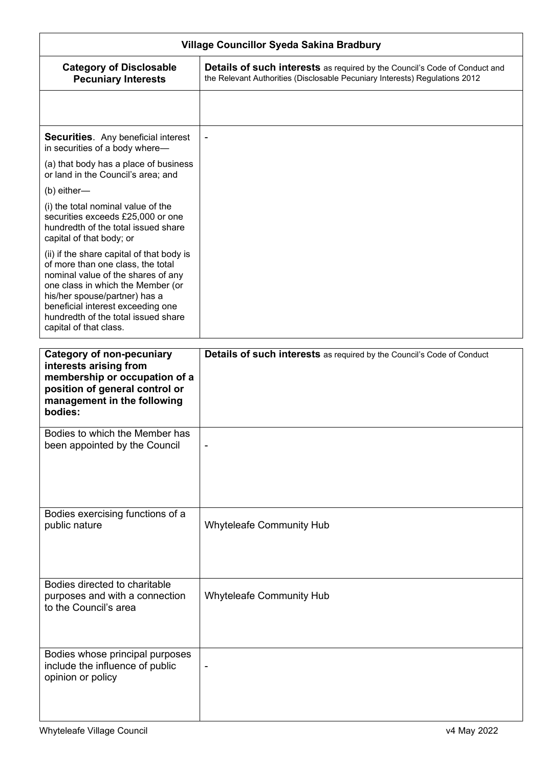| Village Councillor Syeda Sakina Bradbury                                                                                                                                                                                                                                                         |                                                                                                                                                                  |
|--------------------------------------------------------------------------------------------------------------------------------------------------------------------------------------------------------------------------------------------------------------------------------------------------|------------------------------------------------------------------------------------------------------------------------------------------------------------------|
| <b>Category of Disclosable</b><br><b>Pecuniary Interests</b>                                                                                                                                                                                                                                     | <b>Details of such interests</b> as required by the Council's Code of Conduct and<br>the Relevant Authorities (Disclosable Pecuniary Interests) Regulations 2012 |
|                                                                                                                                                                                                                                                                                                  |                                                                                                                                                                  |
| <b>Securities.</b> Any beneficial interest<br>in securities of a body where-                                                                                                                                                                                                                     |                                                                                                                                                                  |
| (a) that body has a place of business<br>or land in the Council's area; and                                                                                                                                                                                                                      |                                                                                                                                                                  |
| (b) either-                                                                                                                                                                                                                                                                                      |                                                                                                                                                                  |
| (i) the total nominal value of the<br>securities exceeds £25,000 or one<br>hundredth of the total issued share<br>capital of that body; or                                                                                                                                                       |                                                                                                                                                                  |
| (ii) if the share capital of that body is<br>of more than one class, the total<br>nominal value of the shares of any<br>one class in which the Member (or<br>his/her spouse/partner) has a<br>beneficial interest exceeding one<br>hundredth of the total issued share<br>capital of that class. |                                                                                                                                                                  |
|                                                                                                                                                                                                                                                                                                  |                                                                                                                                                                  |
| <b>Category of non-pecuniary</b><br>interests arising from<br>membership or occupation of a<br>position of general control or<br>management in the following<br>bodies:                                                                                                                          | <b>Details of such interests</b> as required by the Council's Code of Conduct                                                                                    |
| Bodies to which the Member has<br>been appointed by the Council                                                                                                                                                                                                                                  |                                                                                                                                                                  |
|                                                                                                                                                                                                                                                                                                  |                                                                                                                                                                  |
| Bodies exercising functions of a<br>public nature                                                                                                                                                                                                                                                | Whyteleafe Community Hub                                                                                                                                         |
| Bodies directed to charitable                                                                                                                                                                                                                                                                    |                                                                                                                                                                  |
| purposes and with a connection<br>to the Council's area                                                                                                                                                                                                                                          | <b>Whyteleafe Community Hub</b>                                                                                                                                  |
| Bodies whose principal purposes<br>include the influence of public                                                                                                                                                                                                                               |                                                                                                                                                                  |

opinion or policy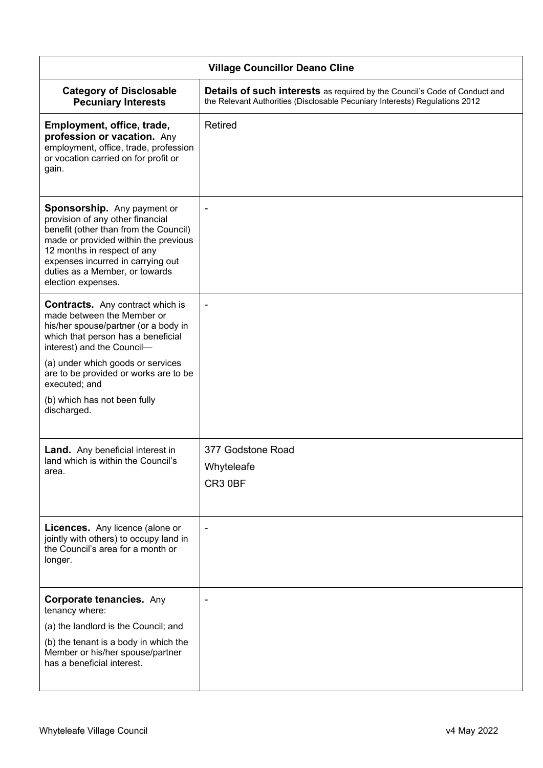| <b>Village Councillor Deano Cline</b>                                                                                                                                                                                                                                        |                                                                                                                                                                  |  |
|------------------------------------------------------------------------------------------------------------------------------------------------------------------------------------------------------------------------------------------------------------------------------|------------------------------------------------------------------------------------------------------------------------------------------------------------------|--|
| <b>Category of Disclosable</b><br><b>Pecuniary Interests</b>                                                                                                                                                                                                                 | <b>Details of such interests</b> as required by the Council's Code of Conduct and<br>the Relevant Authorities (Disclosable Pecuniary Interests) Regulations 2012 |  |
| Employment, office, trade,<br>profession or vacation. Any<br>employment, office, trade, profession<br>or vocation carried on for profit or<br>gain.                                                                                                                          | <b>Retired</b>                                                                                                                                                   |  |
| Sponsorship. Any payment or<br>provision of any other financial<br>benefit (other than from the Council)<br>made or provided within the previous<br>12 months in respect of any<br>expenses incurred in carrying out<br>duties as a Member, or towards<br>election expenses. |                                                                                                                                                                  |  |
| <b>Contracts.</b> Any contract which is<br>made between the Member or<br>his/her spouse/partner (or a body in<br>which that person has a beneficial<br>interest) and the Council-                                                                                            |                                                                                                                                                                  |  |
| (a) under which goods or services<br>are to be provided or works are to be<br>executed; and                                                                                                                                                                                  |                                                                                                                                                                  |  |
| (b) which has not been fully<br>discharged.                                                                                                                                                                                                                                  |                                                                                                                                                                  |  |
| <b>Land.</b> Any beneficial interest in<br>land which is within the Council's<br>area.                                                                                                                                                                                       | 377 Godstone Road<br>Whyteleafe<br>CR3 0BF                                                                                                                       |  |
| <b>Licences.</b> Any licence (alone or<br>jointly with others) to occupy land in<br>the Council's area for a month or<br>longer.                                                                                                                                             | $\overline{\phantom{a}}$                                                                                                                                         |  |
| <b>Corporate tenancies.</b> Any<br>tenancy where:                                                                                                                                                                                                                            |                                                                                                                                                                  |  |
| (a) the landlord is the Council; and                                                                                                                                                                                                                                         |                                                                                                                                                                  |  |
| (b) the tenant is a body in which the<br>Member or his/her spouse/partner<br>has a beneficial interest.                                                                                                                                                                      |                                                                                                                                                                  |  |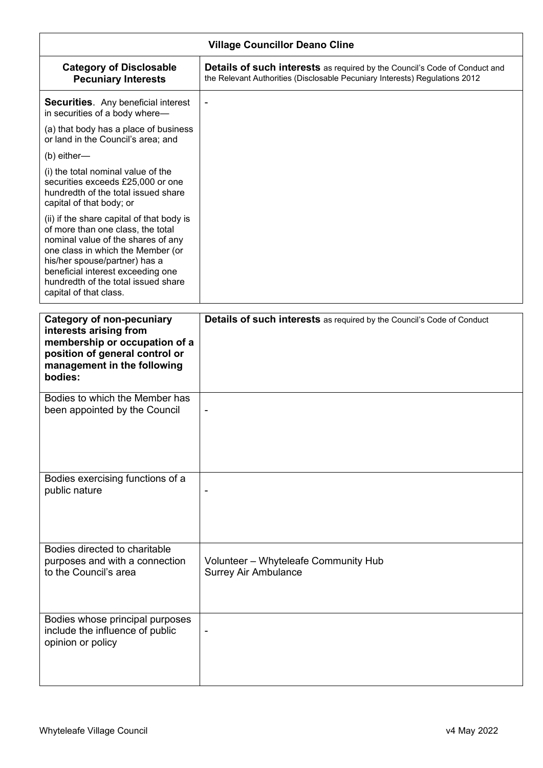| <b>Village Councillor Deano Cline</b>                                                                                                                                                                                                                                                            |                                                                                                                                                                  |
|--------------------------------------------------------------------------------------------------------------------------------------------------------------------------------------------------------------------------------------------------------------------------------------------------|------------------------------------------------------------------------------------------------------------------------------------------------------------------|
| <b>Category of Disclosable</b><br><b>Pecuniary Interests</b>                                                                                                                                                                                                                                     | <b>Details of such interests</b> as required by the Council's Code of Conduct and<br>the Relevant Authorities (Disclosable Pecuniary Interests) Regulations 2012 |
| <b>Securities.</b> Any beneficial interest<br>in securities of a body where-                                                                                                                                                                                                                     | $\blacksquare$                                                                                                                                                   |
| (a) that body has a place of business<br>or land in the Council's area; and                                                                                                                                                                                                                      |                                                                                                                                                                  |
| (b) either-                                                                                                                                                                                                                                                                                      |                                                                                                                                                                  |
| (i) the total nominal value of the<br>securities exceeds £25,000 or one<br>hundredth of the total issued share<br>capital of that body; or                                                                                                                                                       |                                                                                                                                                                  |
| (ii) if the share capital of that body is<br>of more than one class, the total<br>nominal value of the shares of any<br>one class in which the Member (or<br>his/her spouse/partner) has a<br>beneficial interest exceeding one<br>hundredth of the total issued share<br>capital of that class. |                                                                                                                                                                  |
| <b>Category of non-pecuniary</b><br>interests arising from<br>membership or occupation of a<br>position of general control or<br>management in the following<br>bodies:                                                                                                                          | <b>Details of such interests</b> as required by the Council's Code of Conduct                                                                                    |
| Bodies to which the Member has<br>been appointed by the Council                                                                                                                                                                                                                                  | ٠                                                                                                                                                                |
| Bodies exercising functions of a<br>public nature                                                                                                                                                                                                                                                |                                                                                                                                                                  |
| Bodies directed to charitable<br>purposes and with a connection<br>to the Council's area                                                                                                                                                                                                         | Volunteer - Whyteleafe Community Hub<br><b>Surrey Air Ambulance</b>                                                                                              |
| Bodies whose principal purposes<br>include the influence of public<br>opinion or policy                                                                                                                                                                                                          |                                                                                                                                                                  |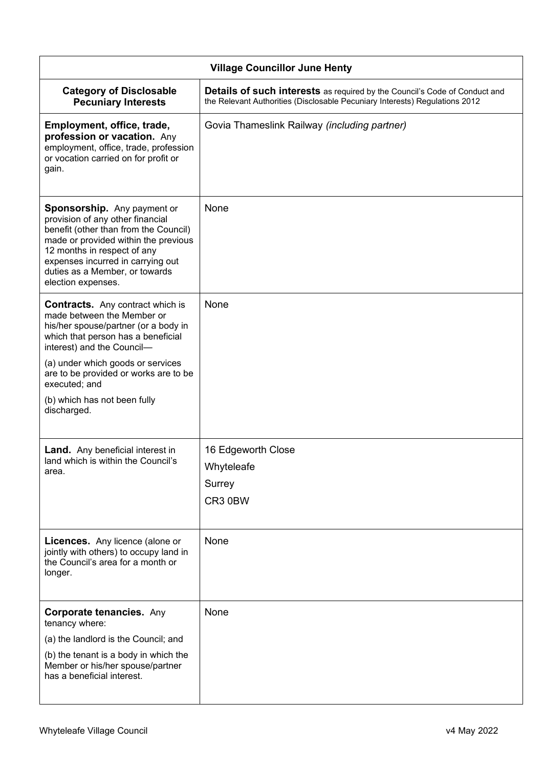| <b>Village Councillor June Henty</b>                                                                                                                                                                                                                                         |                                                                                                                                                                  |
|------------------------------------------------------------------------------------------------------------------------------------------------------------------------------------------------------------------------------------------------------------------------------|------------------------------------------------------------------------------------------------------------------------------------------------------------------|
| <b>Category of Disclosable</b><br><b>Pecuniary Interests</b>                                                                                                                                                                                                                 | <b>Details of such interests</b> as required by the Council's Code of Conduct and<br>the Relevant Authorities (Disclosable Pecuniary Interests) Regulations 2012 |
| Employment, office, trade,<br>profession or vacation. Any<br>employment, office, trade, profession<br>or vocation carried on for profit or<br>gain.                                                                                                                          | Govia Thameslink Railway (including partner)                                                                                                                     |
| Sponsorship. Any payment or<br>provision of any other financial<br>benefit (other than from the Council)<br>made or provided within the previous<br>12 months in respect of any<br>expenses incurred in carrying out<br>duties as a Member, or towards<br>election expenses. | None                                                                                                                                                             |
| <b>Contracts.</b> Any contract which is<br>made between the Member or<br>his/her spouse/partner (or a body in<br>which that person has a beneficial<br>interest) and the Council-                                                                                            | None                                                                                                                                                             |
| (a) under which goods or services<br>are to be provided or works are to be<br>executed; and                                                                                                                                                                                  |                                                                                                                                                                  |
| (b) which has not been fully<br>discharged.                                                                                                                                                                                                                                  |                                                                                                                                                                  |
| <b>Land.</b> Any beneficial interest in                                                                                                                                                                                                                                      | 16 Edgeworth Close                                                                                                                                               |
| land which is within the Council's<br>area.                                                                                                                                                                                                                                  | Whyteleafe                                                                                                                                                       |
|                                                                                                                                                                                                                                                                              | Surrey                                                                                                                                                           |
|                                                                                                                                                                                                                                                                              | CR3 0BW                                                                                                                                                          |
| Licences. Any licence (alone or<br>jointly with others) to occupy land in<br>the Council's area for a month or<br>longer.                                                                                                                                                    | None                                                                                                                                                             |
| <b>Corporate tenancies. Any</b><br>tenancy where:                                                                                                                                                                                                                            | None                                                                                                                                                             |
| (a) the landlord is the Council; and                                                                                                                                                                                                                                         |                                                                                                                                                                  |
| (b) the tenant is a body in which the<br>Member or his/her spouse/partner<br>has a beneficial interest.                                                                                                                                                                      |                                                                                                                                                                  |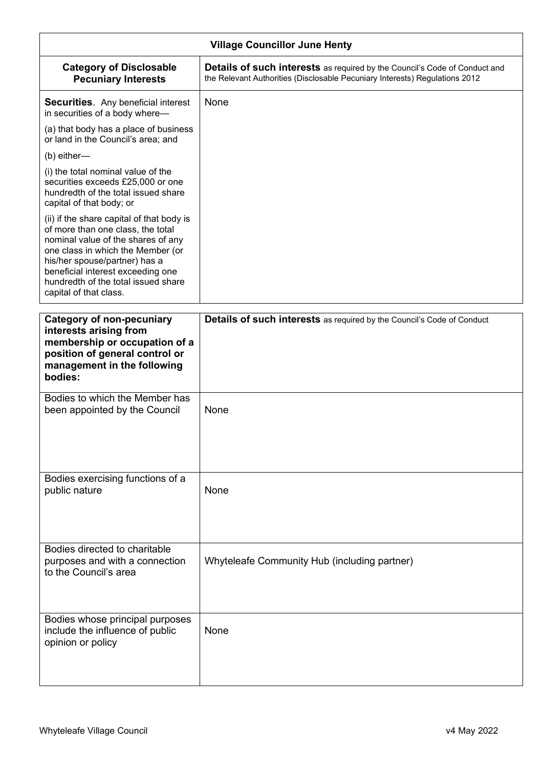| <b>Village Councillor June Henty</b>                                                                                                                                                                                                                                                             |                                                                                                                                                           |  |
|--------------------------------------------------------------------------------------------------------------------------------------------------------------------------------------------------------------------------------------------------------------------------------------------------|-----------------------------------------------------------------------------------------------------------------------------------------------------------|--|
| <b>Category of Disclosable</b><br><b>Pecuniary Interests</b>                                                                                                                                                                                                                                     | Details of such interests as required by the Council's Code of Conduct and<br>the Relevant Authorities (Disclosable Pecuniary Interests) Regulations 2012 |  |
| <b>Securities.</b> Any beneficial interest<br>in securities of a body where-                                                                                                                                                                                                                     | None                                                                                                                                                      |  |
| (a) that body has a place of business<br>or land in the Council's area; and                                                                                                                                                                                                                      |                                                                                                                                                           |  |
| (b) either-                                                                                                                                                                                                                                                                                      |                                                                                                                                                           |  |
| (i) the total nominal value of the<br>securities exceeds £25,000 or one<br>hundredth of the total issued share<br>capital of that body; or                                                                                                                                                       |                                                                                                                                                           |  |
| (ii) if the share capital of that body is<br>of more than one class, the total<br>nominal value of the shares of any<br>one class in which the Member (or<br>his/her spouse/partner) has a<br>beneficial interest exceeding one<br>hundredth of the total issued share<br>capital of that class. |                                                                                                                                                           |  |
| <b>Category of non-pecuniary</b>                                                                                                                                                                                                                                                                 | <b>Details of such interests</b> as required by the Council's Code of Conduct                                                                             |  |
| interests arising from<br>membership or occupation of a<br>position of general control or<br>management in the following<br>bodies:                                                                                                                                                              |                                                                                                                                                           |  |
| Bodies to which the Member has<br>been appointed by the Council                                                                                                                                                                                                                                  | None                                                                                                                                                      |  |
|                                                                                                                                                                                                                                                                                                  |                                                                                                                                                           |  |
| Bodies exercising functions of a<br>public nature                                                                                                                                                                                                                                                | None                                                                                                                                                      |  |
| Bodies directed to charitable<br>purposes and with a connection<br>to the Council's area                                                                                                                                                                                                         | Whyteleafe Community Hub (including partner)                                                                                                              |  |
| Bodies whose principal purposes<br>include the influence of public<br>opinion or policy                                                                                                                                                                                                          | None                                                                                                                                                      |  |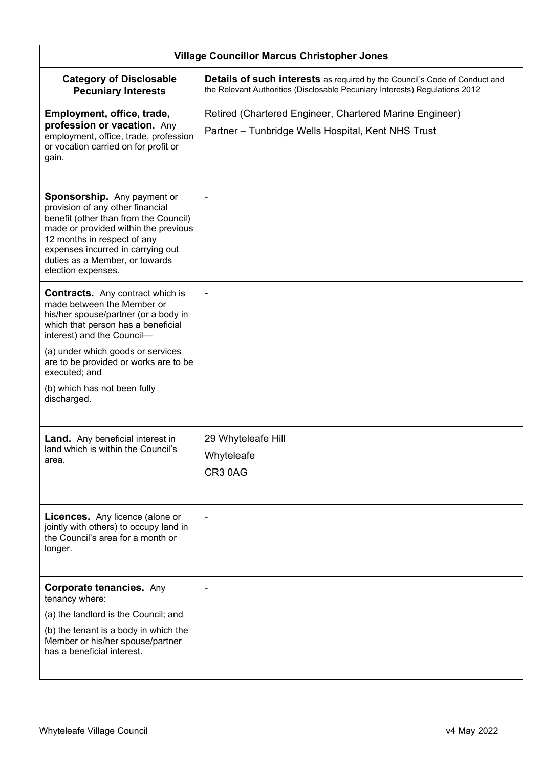| <b>Village Councillor Marcus Christopher Jones</b>                                                                                                                                                                                                                                  |                                                                                                                                                                  |
|-------------------------------------------------------------------------------------------------------------------------------------------------------------------------------------------------------------------------------------------------------------------------------------|------------------------------------------------------------------------------------------------------------------------------------------------------------------|
| <b>Category of Disclosable</b><br><b>Pecuniary Interests</b>                                                                                                                                                                                                                        | <b>Details of such interests</b> as required by the Council's Code of Conduct and<br>the Relevant Authorities (Disclosable Pecuniary Interests) Regulations 2012 |
| Employment, office, trade,<br>profession or vacation. Any<br>employment, office, trade, profession<br>or vocation carried on for profit or<br>gain.                                                                                                                                 | Retired (Chartered Engineer, Chartered Marine Engineer)<br>Partner – Tunbridge Wells Hospital, Kent NHS Trust                                                    |
| <b>Sponsorship.</b> Any payment or<br>provision of any other financial<br>benefit (other than from the Council)<br>made or provided within the previous<br>12 months in respect of any<br>expenses incurred in carrying out<br>duties as a Member, or towards<br>election expenses. |                                                                                                                                                                  |
| <b>Contracts.</b> Any contract which is<br>made between the Member or<br>his/her spouse/partner (or a body in<br>which that person has a beneficial<br>interest) and the Council-                                                                                                   |                                                                                                                                                                  |
| (a) under which goods or services<br>are to be provided or works are to be<br>executed; and                                                                                                                                                                                         |                                                                                                                                                                  |
| (b) which has not been fully<br>discharged.                                                                                                                                                                                                                                         |                                                                                                                                                                  |
| <b>Land.</b> Any beneficial interest in<br>land which is within the Council's<br>area.                                                                                                                                                                                              | 29 Whyteleafe Hill<br>Whyteleafe<br>CR3 0AG                                                                                                                      |
| <b>Licences.</b> Any licence (alone or<br>jointly with others) to occupy land in<br>the Council's area for a month or<br>longer.                                                                                                                                                    |                                                                                                                                                                  |
| <b>Corporate tenancies. Any</b><br>tenancy where:                                                                                                                                                                                                                                   |                                                                                                                                                                  |
| (a) the landlord is the Council; and                                                                                                                                                                                                                                                |                                                                                                                                                                  |
| (b) the tenant is a body in which the<br>Member or his/her spouse/partner<br>has a beneficial interest.                                                                                                                                                                             |                                                                                                                                                                  |
|                                                                                                                                                                                                                                                                                     |                                                                                                                                                                  |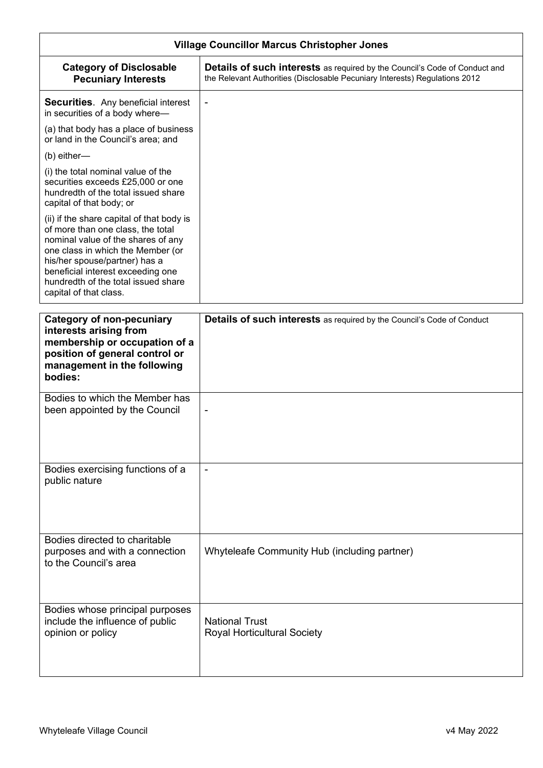| <b>Village Councillor Marcus Christopher Jones</b>                                                                                                                                                                                                                                               |                                                                                                                                                                  |
|--------------------------------------------------------------------------------------------------------------------------------------------------------------------------------------------------------------------------------------------------------------------------------------------------|------------------------------------------------------------------------------------------------------------------------------------------------------------------|
| <b>Category of Disclosable</b><br><b>Pecuniary Interests</b>                                                                                                                                                                                                                                     | <b>Details of such interests</b> as required by the Council's Code of Conduct and<br>the Relevant Authorities (Disclosable Pecuniary Interests) Regulations 2012 |
| <b>Securities.</b> Any beneficial interest<br>in securities of a body where-                                                                                                                                                                                                                     |                                                                                                                                                                  |
| (a) that body has a place of business<br>or land in the Council's area; and                                                                                                                                                                                                                      |                                                                                                                                                                  |
| $(b)$ either—                                                                                                                                                                                                                                                                                    |                                                                                                                                                                  |
| (i) the total nominal value of the<br>securities exceeds £25,000 or one<br>hundredth of the total issued share<br>capital of that body; or                                                                                                                                                       |                                                                                                                                                                  |
| (ii) if the share capital of that body is<br>of more than one class, the total<br>nominal value of the shares of any<br>one class in which the Member (or<br>his/her spouse/partner) has a<br>beneficial interest exceeding one<br>hundredth of the total issued share<br>capital of that class. |                                                                                                                                                                  |
|                                                                                                                                                                                                                                                                                                  |                                                                                                                                                                  |
| <b>Category of non-pecuniary</b><br>interests arising from<br>membership or occupation of a<br>position of general control or<br>management in the following<br>bodies:                                                                                                                          | Details of such interests as required by the Council's Code of Conduct                                                                                           |
| Bodies to which the Member has<br>been appointed by the Council                                                                                                                                                                                                                                  |                                                                                                                                                                  |
| Bodies exercising functions of a<br>public nature                                                                                                                                                                                                                                                | $\blacksquare$                                                                                                                                                   |
| Bodies directed to charitable<br>purposes and with a connection<br>to the Council's area                                                                                                                                                                                                         | Whyteleafe Community Hub (including partner)                                                                                                                     |
| Bodies whose principal purposes<br>include the influence of public<br>opinion or policy                                                                                                                                                                                                          | <b>National Trust</b><br><b>Royal Horticultural Society</b>                                                                                                      |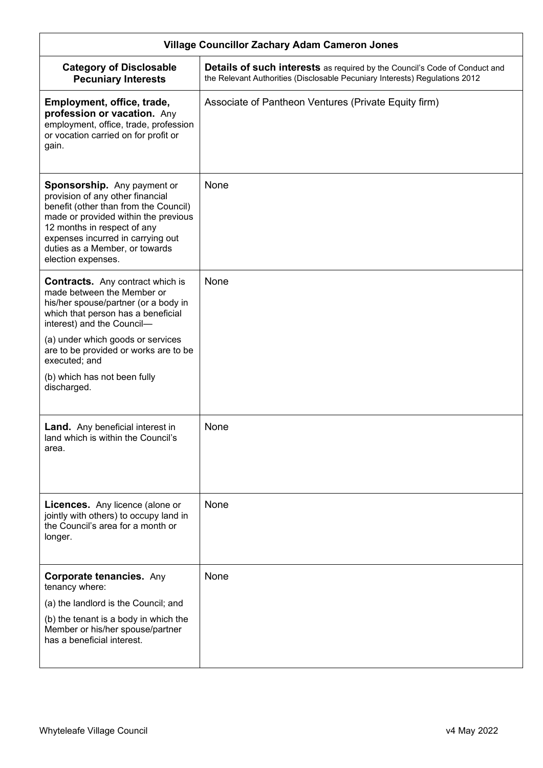| <b>Village Councillor Zachary Adam Cameron Jones</b>                                                                                                                                                                                                                         |                                                                                                                                                                  |
|------------------------------------------------------------------------------------------------------------------------------------------------------------------------------------------------------------------------------------------------------------------------------|------------------------------------------------------------------------------------------------------------------------------------------------------------------|
| <b>Category of Disclosable</b><br><b>Pecuniary Interests</b>                                                                                                                                                                                                                 | <b>Details of such interests</b> as required by the Council's Code of Conduct and<br>the Relevant Authorities (Disclosable Pecuniary Interests) Regulations 2012 |
| Employment, office, trade,<br>profession or vacation. Any<br>employment, office, trade, profession<br>or vocation carried on for profit or<br>gain.                                                                                                                          | Associate of Pantheon Ventures (Private Equity firm)                                                                                                             |
| Sponsorship. Any payment or<br>provision of any other financial<br>benefit (other than from the Council)<br>made or provided within the previous<br>12 months in respect of any<br>expenses incurred in carrying out<br>duties as a Member, or towards<br>election expenses. | None                                                                                                                                                             |
| <b>Contracts.</b> Any contract which is<br>made between the Member or<br>his/her spouse/partner (or a body in<br>which that person has a beneficial<br>interest) and the Council-                                                                                            | None                                                                                                                                                             |
| (a) under which goods or services<br>are to be provided or works are to be<br>executed; and                                                                                                                                                                                  |                                                                                                                                                                  |
| (b) which has not been fully<br>discharged.                                                                                                                                                                                                                                  |                                                                                                                                                                  |
| <b>Land.</b> Any beneficial interest in<br>land which is within the Council's<br>area.                                                                                                                                                                                       | None                                                                                                                                                             |
| <b>Licences.</b> Any licence (alone or<br>jointly with others) to occupy land in<br>the Council's area for a month or<br>longer.                                                                                                                                             | None                                                                                                                                                             |
| <b>Corporate tenancies. Any</b><br>tenancy where:                                                                                                                                                                                                                            | None                                                                                                                                                             |
| (a) the landlord is the Council; and                                                                                                                                                                                                                                         |                                                                                                                                                                  |
| (b) the tenant is a body in which the<br>Member or his/her spouse/partner<br>has a beneficial interest.                                                                                                                                                                      |                                                                                                                                                                  |
|                                                                                                                                                                                                                                                                              |                                                                                                                                                                  |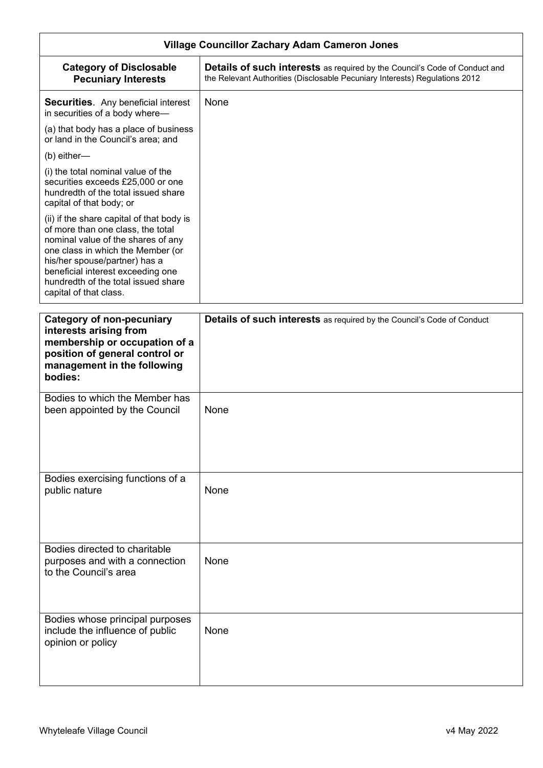| <b>Village Councillor Zachary Adam Cameron Jones</b>                                                                                                                                                                                                                                             |                                                                                                                                                                  |
|--------------------------------------------------------------------------------------------------------------------------------------------------------------------------------------------------------------------------------------------------------------------------------------------------|------------------------------------------------------------------------------------------------------------------------------------------------------------------|
| <b>Category of Disclosable</b><br><b>Pecuniary Interests</b>                                                                                                                                                                                                                                     | <b>Details of such interests</b> as required by the Council's Code of Conduct and<br>the Relevant Authorities (Disclosable Pecuniary Interests) Regulations 2012 |
| <b>Securities.</b> Any beneficial interest<br>in securities of a body where-                                                                                                                                                                                                                     | None                                                                                                                                                             |
| (a) that body has a place of business<br>or land in the Council's area; and                                                                                                                                                                                                                      |                                                                                                                                                                  |
| (b) either-                                                                                                                                                                                                                                                                                      |                                                                                                                                                                  |
| (i) the total nominal value of the<br>securities exceeds £25,000 or one<br>hundredth of the total issued share<br>capital of that body; or                                                                                                                                                       |                                                                                                                                                                  |
| (ii) if the share capital of that body is<br>of more than one class, the total<br>nominal value of the shares of any<br>one class in which the Member (or<br>his/her spouse/partner) has a<br>beneficial interest exceeding one<br>hundredth of the total issued share<br>capital of that class. |                                                                                                                                                                  |
| <b>Category of non-pecuniary</b><br>interests arising from                                                                                                                                                                                                                                       | Details of such interests as required by the Council's Code of Conduct                                                                                           |
| membership or occupation of a<br>position of general control or<br>management in the following<br>bodies:                                                                                                                                                                                        |                                                                                                                                                                  |
| Bodies to which the Member has<br>been appointed by the Council                                                                                                                                                                                                                                  | None                                                                                                                                                             |
| Bodies exercising functions of a<br>public nature                                                                                                                                                                                                                                                | None                                                                                                                                                             |
| Bodies directed to charitable<br>purposes and with a connection<br>to the Council's area                                                                                                                                                                                                         | None                                                                                                                                                             |
| Bodies whose principal purposes<br>include the influence of public<br>opinion or policy                                                                                                                                                                                                          | None                                                                                                                                                             |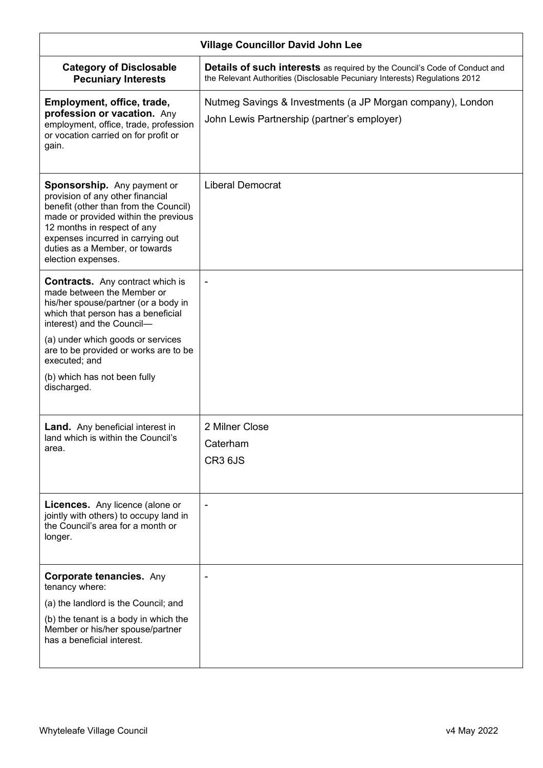| <b>Village Councillor David John Lee</b>                                                                                                                                                                                                                                            |                                                                                                                                                                  |
|-------------------------------------------------------------------------------------------------------------------------------------------------------------------------------------------------------------------------------------------------------------------------------------|------------------------------------------------------------------------------------------------------------------------------------------------------------------|
| <b>Category of Disclosable</b><br><b>Pecuniary Interests</b>                                                                                                                                                                                                                        | <b>Details of such interests</b> as required by the Council's Code of Conduct and<br>the Relevant Authorities (Disclosable Pecuniary Interests) Regulations 2012 |
| Employment, office, trade,<br>profession or vacation. Any<br>employment, office, trade, profession<br>or vocation carried on for profit or<br>gain.                                                                                                                                 | Nutmeg Savings & Investments (a JP Morgan company), London<br>John Lewis Partnership (partner's employer)                                                        |
| <b>Sponsorship.</b> Any payment or<br>provision of any other financial<br>benefit (other than from the Council)<br>made or provided within the previous<br>12 months in respect of any<br>expenses incurred in carrying out<br>duties as a Member, or towards<br>election expenses. | <b>Liberal Democrat</b>                                                                                                                                          |
| <b>Contracts.</b> Any contract which is<br>made between the Member or<br>his/her spouse/partner (or a body in<br>which that person has a beneficial<br>interest) and the Council-                                                                                                   |                                                                                                                                                                  |
| (a) under which goods or services<br>are to be provided or works are to be<br>executed; and                                                                                                                                                                                         |                                                                                                                                                                  |
| (b) which has not been fully<br>discharged.                                                                                                                                                                                                                                         |                                                                                                                                                                  |
| <b>Land.</b> Any beneficial interest in<br>land which is within the Council's<br>area.                                                                                                                                                                                              | 2 Milner Close<br>Caterham<br>CR3 6JS                                                                                                                            |
| <b>Licences.</b> Any licence (alone or<br>jointly with others) to occupy land in<br>the Council's area for a month or<br>longer.                                                                                                                                                    | $\blacksquare$                                                                                                                                                   |
| <b>Corporate tenancies. Any</b><br>tenancy where:                                                                                                                                                                                                                                   |                                                                                                                                                                  |
| (a) the landlord is the Council; and                                                                                                                                                                                                                                                |                                                                                                                                                                  |
| (b) the tenant is a body in which the<br>Member or his/her spouse/partner<br>has a beneficial interest.                                                                                                                                                                             |                                                                                                                                                                  |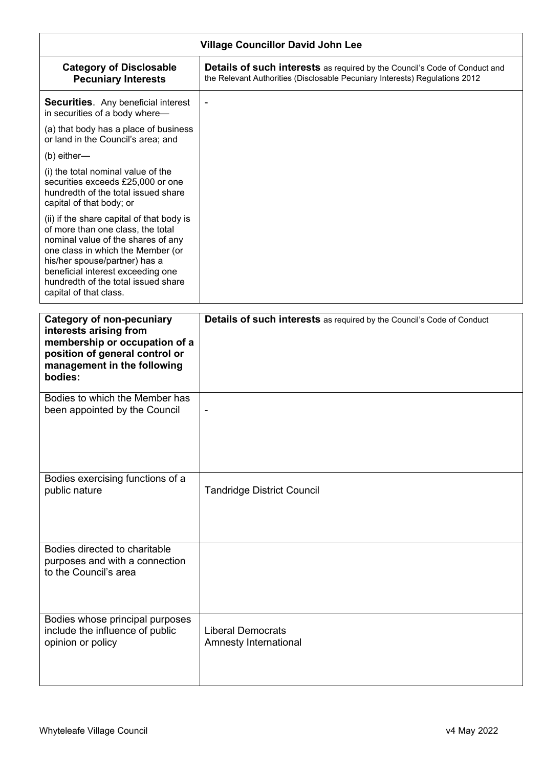| <b>Village Councillor David John Lee</b>                                                                                                                                                                                                                                                         |                                                                                                                                                                  |
|--------------------------------------------------------------------------------------------------------------------------------------------------------------------------------------------------------------------------------------------------------------------------------------------------|------------------------------------------------------------------------------------------------------------------------------------------------------------------|
| <b>Category of Disclosable</b><br><b>Pecuniary Interests</b>                                                                                                                                                                                                                                     | <b>Details of such interests</b> as required by the Council's Code of Conduct and<br>the Relevant Authorities (Disclosable Pecuniary Interests) Regulations 2012 |
| <b>Securities.</b> Any beneficial interest<br>in securities of a body where-                                                                                                                                                                                                                     | $\overline{\phantom{a}}$                                                                                                                                         |
| (a) that body has a place of business<br>or land in the Council's area; and                                                                                                                                                                                                                      |                                                                                                                                                                  |
| (b) either-                                                                                                                                                                                                                                                                                      |                                                                                                                                                                  |
| (i) the total nominal value of the<br>securities exceeds £25,000 or one<br>hundredth of the total issued share<br>capital of that body; or                                                                                                                                                       |                                                                                                                                                                  |
| (ii) if the share capital of that body is<br>of more than one class, the total<br>nominal value of the shares of any<br>one class in which the Member (or<br>his/her spouse/partner) has a<br>beneficial interest exceeding one<br>hundredth of the total issued share<br>capital of that class. |                                                                                                                                                                  |
| <b>Category of non-pecuniary</b><br>interests arising from<br>membership or occupation of a<br>position of general control or<br>management in the following<br>bodies:                                                                                                                          | <b>Details of such interests</b> as required by the Council's Code of Conduct                                                                                    |
| Bodies to which the Member has<br>been appointed by the Council                                                                                                                                                                                                                                  |                                                                                                                                                                  |
| Bodies exercising functions of a<br>public nature                                                                                                                                                                                                                                                | <b>Tandridge District Council</b>                                                                                                                                |
| Bodies directed to charitable<br>purposes and with a connection<br>to the Council's area                                                                                                                                                                                                         |                                                                                                                                                                  |
| Bodies whose principal purposes<br>include the influence of public<br>opinion or policy                                                                                                                                                                                                          | <b>Liberal Democrats</b><br>Amnesty International                                                                                                                |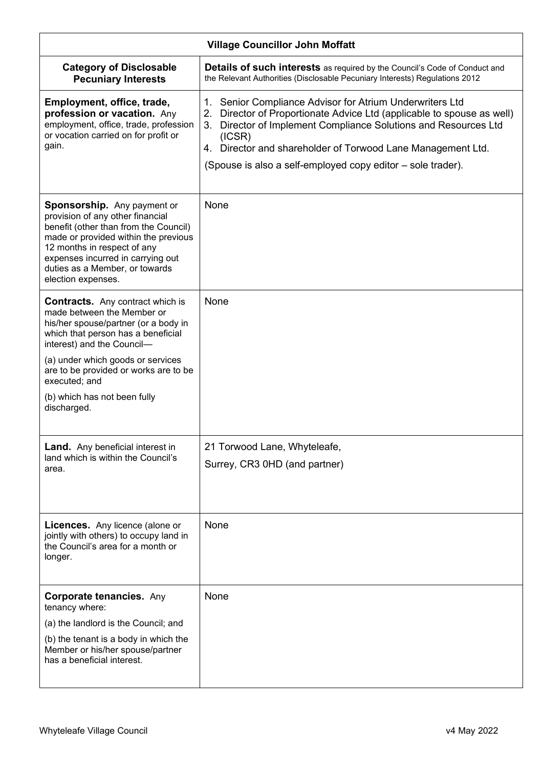| <b>Village Councillor John Moffatt</b>                                                                                                                                                                                                                                       |                                                                                                                                                                                                                                                                                                                                                        |
|------------------------------------------------------------------------------------------------------------------------------------------------------------------------------------------------------------------------------------------------------------------------------|--------------------------------------------------------------------------------------------------------------------------------------------------------------------------------------------------------------------------------------------------------------------------------------------------------------------------------------------------------|
| <b>Category of Disclosable</b><br><b>Pecuniary Interests</b>                                                                                                                                                                                                                 | <b>Details of such interests</b> as required by the Council's Code of Conduct and<br>the Relevant Authorities (Disclosable Pecuniary Interests) Regulations 2012                                                                                                                                                                                       |
| Employment, office, trade,<br>profession or vacation. Any<br>employment, office, trade, profession<br>or vocation carried on for profit or<br>gain.                                                                                                                          | 1. Senior Compliance Advisor for Atrium Underwriters Ltd<br>Director of Proportionate Advice Ltd (applicable to spouse as well)<br>2.<br>Director of Implement Compliance Solutions and Resources Ltd<br>3.<br>(ICSR)<br>Director and shareholder of Torwood Lane Management Ltd.<br>4.<br>(Spouse is also a self-employed copy editor - sole trader). |
| Sponsorship. Any payment or<br>provision of any other financial<br>benefit (other than from the Council)<br>made or provided within the previous<br>12 months in respect of any<br>expenses incurred in carrying out<br>duties as a Member, or towards<br>election expenses. | None                                                                                                                                                                                                                                                                                                                                                   |
| <b>Contracts.</b> Any contract which is<br>made between the Member or<br>his/her spouse/partner (or a body in<br>which that person has a beneficial<br>interest) and the Council-                                                                                            | None                                                                                                                                                                                                                                                                                                                                                   |
| (a) under which goods or services<br>are to be provided or works are to be<br>executed; and<br>(b) which has not been fully<br>discharged.                                                                                                                                   |                                                                                                                                                                                                                                                                                                                                                        |
|                                                                                                                                                                                                                                                                              |                                                                                                                                                                                                                                                                                                                                                        |
| <b>Land.</b> Any beneficial interest in<br>land which is within the Council's<br>area.                                                                                                                                                                                       | 21 Torwood Lane, Whyteleafe,<br>Surrey, CR3 0HD (and partner)                                                                                                                                                                                                                                                                                          |
| <b>Licences.</b> Any licence (alone or<br>jointly with others) to occupy land in<br>the Council's area for a month or<br>longer.                                                                                                                                             | None                                                                                                                                                                                                                                                                                                                                                   |
| <b>Corporate tenancies. Any</b><br>tenancy where:<br>(a) the landlord is the Council; and<br>(b) the tenant is a body in which the<br>Member or his/her spouse/partner<br>has a beneficial interest.                                                                         | None                                                                                                                                                                                                                                                                                                                                                   |
|                                                                                                                                                                                                                                                                              |                                                                                                                                                                                                                                                                                                                                                        |